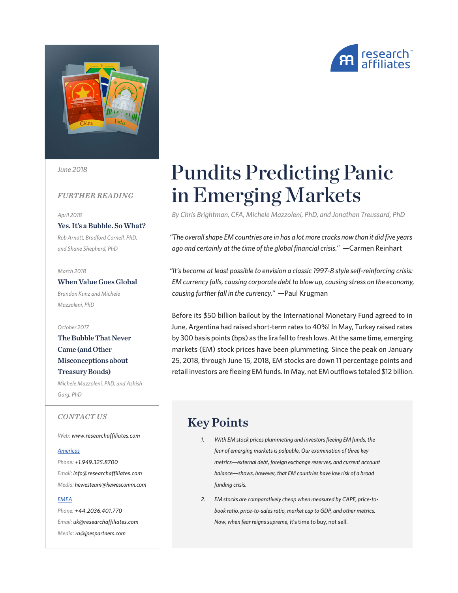

*June 2018*

#### *FURTHER READING*

*April 2018*

[Yes. It's a Bubble. So What?](https://www.researchaffiliates.com/content/ra/na/en_us/publications/articles/616-which-rafi-index-strategy-is-right-for-you.html) *Rob Arnott, Bradford Cornell, PhD, and Shane Shepherd, PhD*

*March 2018*

When Value Goes Global *Brandon Kunz and Michele Mazzoleni, PhD*

*October 2017*

[The Bubble That Never](https://www.researchaffiliates.com/content/ra/na/en_us/publications/articles/616-which-rafi-index-strategy-is-right-for-you.html)  [Came \(and Other](https://www.researchaffiliates.com/content/ra/na/en_us/publications/articles/616-which-rafi-index-strategy-is-right-for-you.html)  [Misconceptions about](https://www.researchaffiliates.com/content/ra/na/en_us/publications/articles/616-which-rafi-index-strategy-is-right-for-you.html)  [Treasury Bonds\)](https://www.researchaffiliates.com/content/ra/na/en_us/publications/articles/616-which-rafi-index-strategy-is-right-for-you.html)

*Michele Mazzoleni, PhD, and Ashish Garg, PhD*

*CONTACT US*

*Web: www.researchaffiliates.com*

#### *Americas*

*Phone: +1.949.325.8700 Email: info@researchaffiliates.com Media: hewesteam@hewescomm.com*

#### *EMEA*

*Phone: +44.2036.401.770 Email: uk@researchaffiliates.com Media: ra@jpespartners.com*

# Pundits Predicting Panic in Emerging Markets

*By Chris Brightman, CFA, Michele Mazzoleni, PhD, and Jonathan Treussard, PhD*

*"The overall shape EM countries are in has a lot more cracks now than it did five years ago and certainly at the time of the global financial crisis."* —Carmen Reinhart

*"It's become at least possible to envision a classic 1997-8 style self-reinforcing crisis: EM currency falls, causing corporate debt to blow up, causing stress on the economy, causing further fall in the currency."* —Paul Krugman

Before its \$50 billion bailout by the International Monetary Fund agreed to in June, Argentina had raised short-term rates to 40%! In May, Turkey raised rates by 300 basis points (bps) as the lira fell to fresh lows. At the same time, emerging markets (EM) stock prices have been plummeting. Since the peak on January 25, 2018, through June 15, 2018, EM stocks are down 11 percentage points and retail investors are fleeing EM funds. In May, net EM outflows totaled \$12 billion.

## Key Points

- *1. With EM stock prices plummeting and investors fleeing EM funds, the fear of emerging markets is palpable. Our examination of three key metrics—external debt, foreign exchange reserves, and current account balance—shows, however, that EM countries have low risk of a broad funding crisis.*
- *2. EM stocks are comparatively cheap when measured by CAPE, price-tobook ratio, price-to-sales ratio, market cap to GDP, and other metrics. Now, when fear reigns supreme,* it's time to buy, not sell.

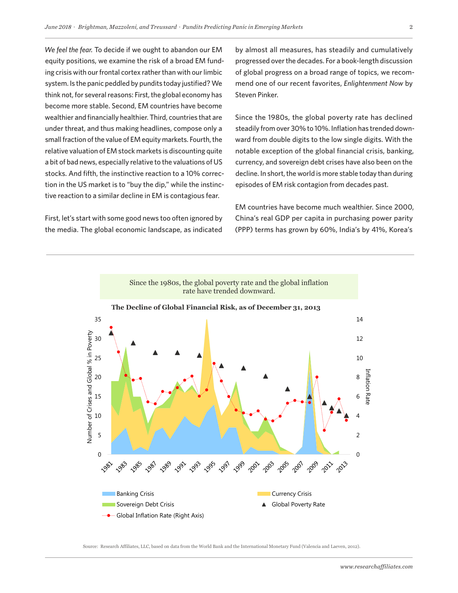*We feel the fear.* To decide if we ought to abandon our EM equity positions, we examine the risk of a broad EM funding crisis with our frontal cortex rather than with our limbic system. Is the panic peddled by pundits today justified? We think not, for several reasons: First, the global economy has become more stable. Second, EM countries have become wealthier and financially healthier. Third, countries that are under threat, and thus making headlines, compose only a small fraction of the value of EM equity markets. Fourth, the relative valuation of EM stock markets is discounting quite a bit of bad news, especially relative to the valuations of US stocks. And fifth, the instinctive reaction to a 10% correction in the US market is to "buy the dip," while the instinctive reaction to a similar decline in EM is contagious fear.

First, let's start with some good news too often ignored by the media. The global economic landscape, as indicated by almost all measures, has steadily and cumulatively progressed over the decades. For a book-length discussion of global progress on a broad range of topics, we recommend one of our recent favorites, *Enlightenment Now* by Steven Pinker.

Since the 1980s, the global poverty rate has declined steadily from over 30% to 10%. Inflation has trended downward from double digits to the low single digits. With the notable exception of the global financial crisis, banking, currency, and sovereign debt crises have also been on the decline. In short, the world is more stable today than during episodes of EM risk contagion from decades past.

EM countries have become much wealthier. Since 2000, China's real GDP per capita in purchasing power parity (PPP) terms has grown by 60%, India's by 41%, Korea's



Source: Research Affiliates, LLC, based on data from the World Bank and the International Monetary Fund (Valencia and Laeven, 2012).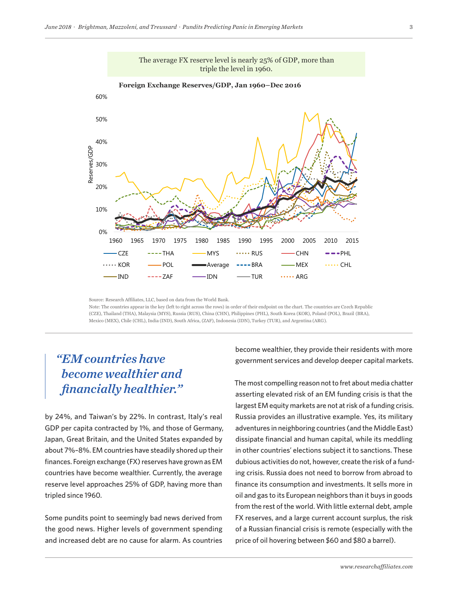

Source: Research Affiliates, LLC, based on data from the World Bank. Note: The countries appear in the key (left to right across the rows) in order of their endpoint on the chart. The countries are Czech Republic (CZE), Thailand (THA), Malaysia (MYS), Russia (RUS), China (CHN), Philippines (PHL), South Korea (KOR), Poland (POL), Brazil (BRA), Mexico (MEX), Chile (CHL), India (IND), South Africa, (ZAF), Indonesia (IDN), Turkey (TUR), and Argentina (ARG).

## *"EM countries have become wealthier and financially healthier."*

by 24%, and Taiwan's by 22%. In contrast, Italy's real GDP per capita contracted by 1%, and those of Germany, Japan, Great Britain, and the United States expanded by about 7%–8%. EM countries have steadily shored up their finances. Foreign exchange (FX) reserves have grown as EM countries have become wealthier. Currently, the average reserve level approaches 25% of GDP, having more than tripled since 1960.

Some pundits point to seemingly bad news derived from the good news. Higher levels of government spending and increased debt are no cause for alarm. As countries

become wealthier, they provide their residents with more government services and develop deeper capital markets. Any use of the above content is subject to all important legal disclosures, disclaimers, and terms of use found at

> The most compelling reason not to fret about media chatter asserting elevated risk of an EM funding crisis is that the largest EM equity markets are not at risk of a funding crisis. Russia provides an illustrative example. Yes, its military adventures in neighboring countries (and the Middle East) dissipate financial and human capital, while its meddling in other countries' elections subject it to sanctions. These dubious activities do not, however, create the risk of a funding crisis. Russia does not need to borrow from abroad to finance its consumption and investments. It sells more in oil and gas to its European neighbors than it buys in goods from the rest of the world. With little external debt, ample FX reserves, and a large current account surplus, the risk of a Russian financial crisis is remote (especially with the price of oil hovering between \$60 and \$80 a barrel).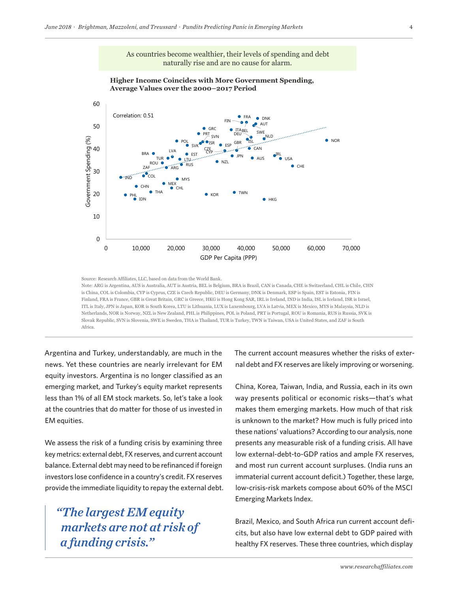

Source: Research Affiliates, LLC, based on data from the World Bank.

Note: ARG is Argentina, AUS is Australia, AUT is Austria, BEL is Belgium, BRA is Brazil, CAN is Canada, CHE is Switzerland, CHL is Chile, CHN is China, COL is Colombia, CYP is Cyprus, CZE is Czech Republic, DEU is Germany, DNK is Denmark, ESP is Spain, EST is Estonia, FIN is Finland, FRA is France, GBR is Great Britain, GRC is Greece, HKG is Hong Kong SAR, IRL is Ireland, IND is India, ISL is Iceland, ISR is Israel, ITL is Italy, JPN is Japan, KOR is South Korea, LTU is Lithuania, LUX is Luxembourg, LVA is Latvia, MEX is Mexico, MYS is Malaysia, NLD is Netherlands, NOR is Norway, NZL is New Zealand, PHL is Philippines, POL is Poland, PRT is Portugal, ROU is Romania, RUS is Russia, SVK is Slovak Republic, SVN is Slovenia, SWE is Sweden, THA is Thailand, TUR is Turkey, TWN is Taiwan, USA is United States, and ZAF is South Africa.

Argentina and Turkey, understandably, are much in the The current account news. Yet these countries are nearly irrelevant for EM equity investors. Argentina is no longer classified as an emerging market, and Turkey's equity market represents less than 1% of all EM stock markets. So, let's take a look at the countries that do matter for those of us invested in EM equities.

We assess the risk of a funding crisis by examining three key metrics: external debt, FX reserves, and current account balance. External debt may need to be refinanced if foreign investors lose confidence in a country's credit. FX reserves provide the immediate liquidity to repay the external debt.

## *"The largest EM equity markets are not at risk of a funding crisis."*

The current account measures whether the risks of external debt and FX reserves are likely improving or worsening.

China, Korea, Taiwan, India, and Russia, each in its own way presents political or economic risks—that's what makes them emerging markets. How much of that risk is unknown to the market? How much is fully priced into these nations' valuations? According to our analysis, none presents any measurable risk of a funding crisis. All have low external-debt-to-GDP ratios and ample FX reserves, and most run current account surpluses. (India runs an immaterial current account deficit.) Together, these large, low-crisis-risk markets compose about 60% of the MSCI Emerging Markets Index.

Brazil, Mexico, and South Africa run current account deficits, but also have low external debt to GDP paired with healthy FX reserves. These three countries, which display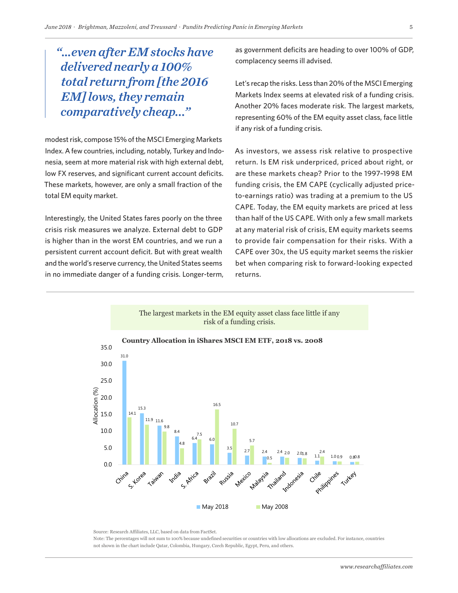*"…even after EM stocks have delivered nearly a 100% total return from [the 2016 EM] lows, they remain comparatively cheap..."*

modest risk, compose 15% of the MSCI Emerging Markets Index. A few countries, including, notably, Turkey and Indonesia, seem at more material risk with high external debt, low FX reserves, and significant current account deficits. These markets, however, are only a small fraction of the total EM equity market.

Interestingly, the United States fares poorly on the three crisis risk measures we analyze. External debt to GDP is higher than in the worst EM countries, and we run a persistent current account deficit. But with great wealth and the world's reserve currency, the United States seems in no immediate danger of a funding crisis. Longer-term, as government deficits are heading to over 100% of GDP, complacency seems ill advised.

Let's recap the risks. Less than 20% of the MSCI Emerging Markets Index seems at elevated risk of a funding crisis. Another 20% faces moderate risk. The largest markets, representing 60% of the EM equity asset class, face little if any risk of a funding crisis.

As investors, we assess risk relative to prospective return. Is EM risk underpriced, priced about right, or are these markets cheap? Prior to the 1997–1998 EM funding crisis, the EM CAPE (cyclically adjusted priceto-earnings ratio) was trading at a premium to the US CAPE. Today, the EM equity markets are priced at less than half of the US CAPE. With only a few small markets at any material risk of crisis, EM equity markets seems to provide fair compensation for their risks. With a CAPE over 30x, the US equity market seems the riskier bet when comparing risk to forward-looking expected returns.



Source: Research Affiliates, LLC, based on data from FactSet.

Note: The percentages will not sum to 100% because undefined securities or countries with low allocations are excluded. For instance, countries not shown in the chart include Qatar, Colombia, Hungary, Czech Republic, Egypt, Peru, and others.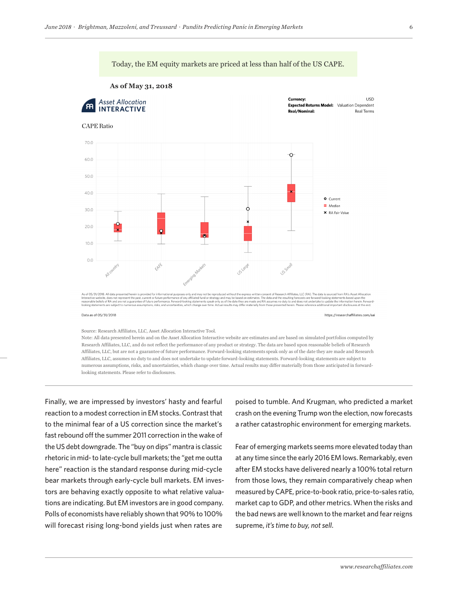

Data as of 05/31/2018

https://researchaffiliates.com/aai

Source: Research Affiliates, LLC, Asset Allocation Interactive Tool.

Note: All data presented herein and on the Asset Allocation Interactive website are estimates and are based on simulated portfolios computed by Research Affiliates, LLC, and do not reflect the performance of any product or strategy. The data are based upon reasonable beliefs of Research Affiliates, LLC, but are not a guarantee of future performance. Forward-looking statements speak only as of the date they are made and Research Affiliates, LLC, assumes no duty to and does not undertake to update forward-looking statements. Forward-looking statements are subject to numerous assumptions, risks, and uncertainties, which change over time. Actual results may differ materially from those anticipated in forwardlooking statements. Please refer to disclosures.

Finally, we are impressed by investors' hasty and fearful poised to tumble. A reaction to a modest correction in EM stocks. Contrast that crash on the to the minimal fear of a US correction since the market's fast rebound off the summer 2011 correction in the wake of the US debt downgrade. The "buy on dips" mantra is classic rhetoric in mid- to late-cycle bull markets; the "get me outta here" reaction is the standard response during mid-cycle bear markets through early-cycle bull markets. EM investors are behaving exactly opposite to what relative valuations are indicating. But EM investors are in good company. Polls of economists have reliably shown that 90% to 100% will forecast rising long-bond yields just when rates are

poised to tumble. And Krugman, who predicted a market crash on the evening Trump won the election, now forecasts a rather catastrophic environment for emerging markets.

Fear of emerging markets seems more elevated today than at any time since the early 2016 EM lows. Remarkably, even after EM stocks have delivered nearly a 100% total return from those lows, they remain comparatively cheap when measured by CAPE, price-to-book ratio, price-to-sales ratio, market cap to GDP, and other metrics. When the risks and the bad news are well known to the market and fear reigns supreme, *it's time to buy, not sell*.